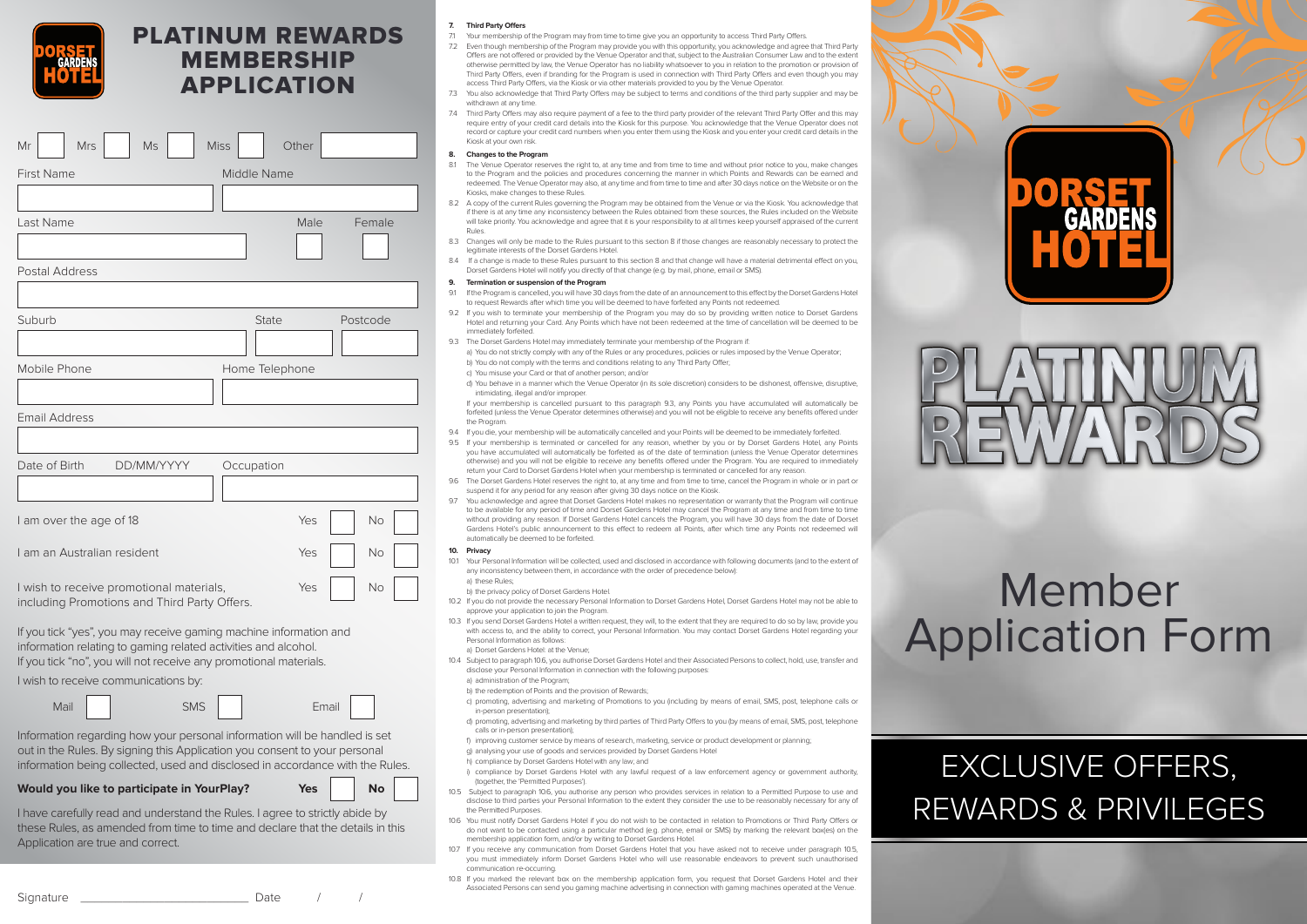# PLATINUM REWARDS MEMBERSHIP APPLICATION

| <b>Mrs</b><br>Mr<br>Ms                                                                   | <b>Miss</b><br>Other |
|------------------------------------------------------------------------------------------|----------------------|
| <b>First Name</b>                                                                        | Middle Name          |
|                                                                                          |                      |
| Last Name                                                                                | Male<br>Female       |
|                                                                                          |                      |
| Postal Address                                                                           |                      |
|                                                                                          |                      |
| Suburb                                                                                   | Postcode<br>State    |
|                                                                                          |                      |
| Mobile Phone                                                                             | Home Telephone       |
|                                                                                          |                      |
| <b>Email Address</b>                                                                     |                      |
|                                                                                          |                      |
| DD/MM/YYYY<br>Date of Birth                                                              | Occupation           |
|                                                                                          |                      |
| I am over the age of 18                                                                  | Yes<br>No            |
| Lam an Australian resident                                                               | Yes<br><b>No</b>     |
| I wish to receive promotional materials,<br>including Promotions and Third Party Offers. | Yes<br>No            |

If you tick "yes", you may receive gaming machine information and information relating to gaming related activities and alcohol. If you tick "no", you will not receive any promotional materials.

I wish to receive communications by:



Information regarding how your personal information will be handled is set out in the Rules. By signing this Application you consent to your personal information being collected, used and disclosed in accordance with the Rules.

# **Would you like to participate in YourPlay? Yes Yes No**

| I have carefully read and understand the Rules. I agree to strictly abide by   |  |
|--------------------------------------------------------------------------------|--|
| these Rules, as amended from time to time and declare that the details in this |  |
| Application are true and correct.                                              |  |

# **7. Third Party Offers**

- 7.1 Your membership of the Program may from time to time give you an opportunity to access Third Party Offers.
- 7.2 Even though membership of the Program may provide you with this opportunity, you acknowledge and agree that Third Party Offers are not offered or provided by the Venue Operator and that, subject to the Australian Consumer Law and to the extent otherwise permitted by law, the Venue Operator has no liability whatsoever to you in relation to the promotion or provision of Third Party Offers, even if branding for the Program is used in connection with Third Party Offers and even though you may access Third Party Offers, via the Kiosk or via other materials provided to you by the Venue Operator.
- 7.3 You also acknowledge that Third Party Offers may be subject to terms and conditions of the third party supplier and may be withdrawn at any time.
- 7.4 Third Party Offers may also require payment of a fee to the third party provider of the relevant Third Party Offer and this may require entry of your credit card details into the Kiosk for this purpose. You acknowledge that the Venue Operator does not record or capture your credit card numbers when you enter them using the Kiosk and you enter your credit card details in the Kiosk at your own risk.

### **8. Changes to the Program**

- 8.1 The Venue Operator reserves the right to, at any time and from time to time and without prior notice to you. make changes to the Program and the policies and procedures concerning the manner in which Points and Rewards can be earned and redeemed. The Venue Operator may also, at any time and from time to time and after 30 days notice on the Website or on the Kiosks, make changes to these Rules.
- 8.2 A copy of the current Rules governing the Program may be obtained from the Venue or via the Kiosk. You acknowledge that if there is at any time any inconsistency between the Rules obtained from these sources, the Rules included on the Website will take priority. You acknowledge and agree that it is your responsibility to at all times keep yourself appraised of the current Rules.
- 8.3 Changes will only be made to the Rules pursuant to this section 8 if those changes are reasonably necessary to protect the legitimate interests of the Dorset Gardens Hotel.
- 8.4 If a change is made to these Rules pursuant to this section 8 and that change will have a material detrimental effect on you, Dorset Gardens Hotel will notify you directly of that change (e.g. by mail, phone, email or SMS).

# **9. Termination or suspension of the Program**

- 9.1 If the Program is cancelled, you will have 30 days from the date of an announcement to this effect by the Dorset Gardens Hotel to request Rewards after which time you will be deemed to have forfeited any Points not redeemed.
- 9.2 If you wish to terminate your membership of the Program you may do so by providing written notice to Dorset Gardens Hotel and returning your Card. Any Points which have not been redeemed at the time of cancellation will be deemed to be immediately forfeited.
- 9.3 The Dorset Gardens Hotel may immediately terminate your membership of the Program if:
- a) You do not strictly comply with any of the Rules or any procedures, policies or rules imposed by the Venue Operator; b) You do not comply with the terms and conditions relating to any Third Party Offer;
- c) You misuse your Card or that of another person; and/or
- d) You behave in a manner which the Venue Operator (in its sole discretion) considers to be dishonest, offensive, disruptive intimidating, illegal and/or improper.

If your membership is cancelled pursuant to this paragraph 9.3, any Points you have accumulated will automatically be forfeited (unless the Venue Operator determines otherwise) and you will not be eligible to receive any benefits offered under the Program.

- 9.4 If you die, your membership will be automatically cancelled and your Points will be deemed to be immediately forfeited.
- 9.5 If your membership is terminated or cancelled for any reason, whether by you or by Dorset Gardens Hotel, any Points you have accumulated will automatically be forfeited as of the date of termination (unless the Venue Operator determines otherwise) and you will not be eligible to receive any benefits offered under the Program. You are required to immediately return your Card to Dorset Gardens Hotel when your membership is terminated or cancelled for any reason.
- 96. The Dorset Gardens Hotel reserves the right to, at any time and from time to time, cancel the Program in whole or in part or suspend it for any period for any reason after giving 30 days notice on the Kiosk.
- 9.7 You acknowledge and agree that Dorset Gardens Hotel makes no representation or warranty that the Program will continue to be available for any period of time and Dorset Gardens Hotel may cancel the Program at any time and from time to time without providing any reason. If Dorset Gardens Hotel cancels the Program, you will have 30 days from the date of Dorset Gardens Hotel's public announcement to this effect to redeem all Points, after which time any Points not redeemed will automatically be deemed to be forfeited.

### **10. Privacy**

- 10.1 Your Personal Information will be collected, used and disclosed in accordance with following documents (and to the extent of any inconsistency between them, in accordance with the order of precedence below):
	- a) these Rules; b) the privacy policy of Dorset Gardens Hotel.
- 10.2 If you do not provide the necessary Personal Information to Dorset Gardens Hotel, Dorset Gardens Hotel may not be able to approve your application to join the Program.
- 10.3 If you send Dorset Gardens Hotel a written request, they will, to the extent that they are required to do so by law, provide you with access to, and the ability to correct, your Personal Information. You may contact Dorset Gardens Hotel regarding your Personal Information as follows: a) Dorset Gardens Hotel: at the Venue;
- 10.4 Subject to paragraph 10.6, you authorise Dorset Gardens Hotel and their Associated Persons to collect, hold, use, transfer and disclose your Personal Information in connection with the following purposes:
	- a) administration of the Program
	- b) the redemption of Points and the provision of Rewards;
	- c) promoting, advertising and marketing of Promotions to you (including by means of email, SMS, post, telephone calls or in-person presentation);
	- d) promoting, advertising and marketing by third parties of Third Party Offers to you (by means of email, SMS, post, telephone calls or in-person presentation);
	- f) improving customer service by means of research, marketing, service or product development or planning; g) analysing your use of goods and services provided by Dorset Gardens Hotel
	- h) compliance by Dorset Gardens Hotel with any law; and
	- i) compliance by Dorset Gardens Hotel with any lawful request of a law enforcement agency or government authority, (together, the 'Permitted Purposes').
- 10.5 Subject to paragraph 10.6, you authorise any person who provides services in relation to a Permitted Purpose to use and disclose to third parties your Personal Information to the extent they consider the use to be reasonably necessary for any of the Permitted Purposes.
- 10.6 You must notify Dorset Gardens Hotel if you do not wish to be contacted in relation to Promotions or Third Party Offers or do not want to be contacted using a particular method (e.g. phone, email or SMS) by marking the relevant box(es) on the membership application form, and/or by writing to Dorset Gardens Hotel.
- 10.7 If you receive any communication from Dorset Gardens Hotel that you have asked not to receive under paragraph 10.5, you must immediately inform Dorset Gardens Hotel who will use reasonable endeavors to prevent such unauthorised communication re-occurring.
- 10.8 If you marked the relevant box on the membership application form, you request that Dorset Gardens Hotel and their Associated Persons can send you gaming machine advertising in connection with gaming machines operated at the Venue.



# EXCLUSIVE OFFERS, REWARDS & PRIVILEGES